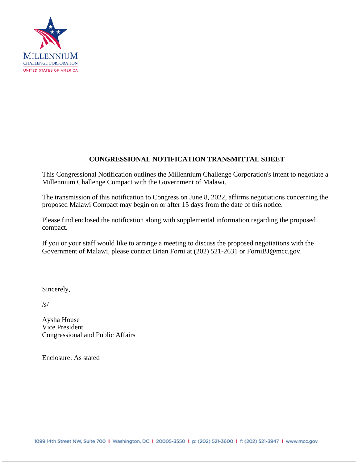

# **CONGRESSIONAL NOTIFICATION TRANSMITTAL SHEET**

This Congressional Notification outlines the Millennium Challenge Corporation's intent to negotiate a Millennium Challenge Compact with the Government of Malawi.

The transmission of this notification to Congress on June 8, 2022, affirms negotiations concerning the proposed Malawi Compact may begin on or after 15 days from the date of this notice.

Please find enclosed the notification along with supplemental information regarding the proposed compact.

If you or your staff would like to arrange a meeting to discuss the proposed negotiations with the Government of Malawi, please contact Brian Forni at (202) 521-2631 or ForniBJ@mcc.gov.

Sincerely,

/s/

Aysha House Vice President Congressional and Public Affairs

Enclosure: As stated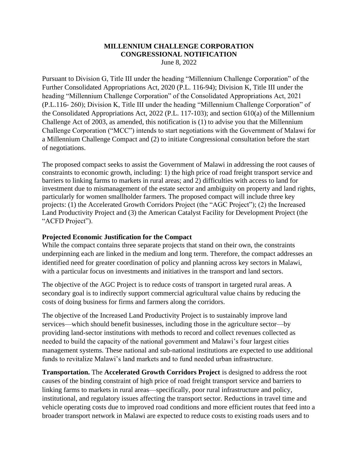# **MILLENNIUM CHALLENGE CORPORATION CONGRESSIONAL NOTIFICATION**

June 8, 2022

Pursuant to Division G, Title III under the heading "Millennium Challenge Corporation" of the Further Consolidated Appropriations Act, 2020 (P.L. 116-94); Division K, Title III under the heading "Millennium Challenge Corporation" of the Consolidated Appropriations Act, 2021 (P.L.116- 260); Division K, Title III under the heading "Millennium Challenge Corporation" of the Consolidated Appropriations Act, 2022 (P.L. 117-103); and section 610(a) of the Millennium Challenge Act of 2003, as amended, this notification is (1) to advise you that the Millennium Challenge Corporation ("MCC") intends to start negotiations with the Government of Malawi for a Millennium Challenge Compact and (2) to initiate Congressional consultation before the start of negotiations.

The proposed compact seeks to assist the Government of Malawi in addressing the root causes of constraints to economic growth, including: 1) the high price of road freight transport service and barriers to linking farms to markets in rural areas; and 2) difficulties with access to land for investment due to mismanagement of the estate sector and ambiguity on property and land rights, particularly for women smallholder farmers. The proposed compact will include three key projects: (1) the Accelerated Growth Corridors Project (the "AGC Project"); (2) the Increased Land Productivity Project and (3) the American Catalyst Facility for Development Project (the "ACFD Project").

## **Projected Economic Justification for the Compact**

While the compact contains three separate projects that stand on their own, the constraints underpinning each are linked in the medium and long term. Therefore, the compact addresses an identified need for greater coordination of policy and planning across key sectors in Malawi, with a particular focus on investments and initiatives in the transport and land sectors.

The objective of the AGC Project is to reduce costs of transport in targeted rural areas. A secondary goal is to indirectly support commercial agricultural value chains by reducing the costs of doing business for firms and farmers along the corridors.

The objective of the Increased Land Productivity Project is to sustainably improve land services—which should benefit businesses, including those in the agriculture sector—by providing land-sector institutions with methods to record and collect revenues collected as needed to build the capacity of the national government and Malawi's four largest cities management systems. These national and sub-national institutions are expected to use additional funds to revitalize Malawi's land markets and to fund needed urban infrastructure.

**Transportation.** The **Accelerated Growth Corridors Project** is designed to address the root causes of the binding constraint of high price of road freight transport service and barriers to linking farms to markets in rural areas—specifically, poor rural infrastructure and policy, institutional, and regulatory issues affecting the transport sector. Reductions in travel time and vehicle operating costs due to improved road conditions and more efficient routes that feed into a broader transport network in Malawi are expected to reduce costs to existing roads users and to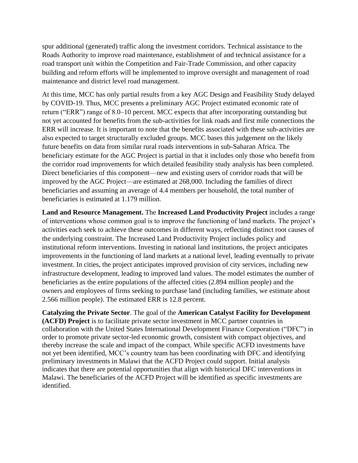spur additional (generated) traffic along the investment corridors. Technical assistance to the Roads Authority to improve road maintenance, establishment of and technical assistance for a road transport unit within the Competition and Fair-Trade Commission, and other capacity building and reform efforts will be implemented to improve oversight and management of road maintenance and district level road management.

At this time, MCC has only partial results from a key AGC Design and Feasibility Study delayed by COVID-19. Thus, MCC presents a preliminary AGC Project estimated economic rate of return ("ERR") range of 8.0–10 percent. MCC expects that after incorporating outstanding but not yet accounted for benefits from the sub-activities for link roads and first mile connections the ERR will increase. It is important to note that the benefits associated with these sub-activities are also expected to target structurally excluded groups. MCC bases this judgement on the likely future benefits on data from similar rural roads interventions in sub-Saharan Africa. The beneficiary estimate for the AGC Project is partial in that it includes only those who benefit from the corridor road improvements for which detailed feasibility study analysis has been completed. Direct beneficiaries of this component—new and existing users of corridor roads that will be improved by the AGC Project—are estimated at 268,000. Including the families of direct beneficiaries and assuming an average of 4.4 members per household, the total number of beneficiaries is estimated at 1.179 million.

**Land and Resource Management.** The **Increased Land Productivity Project** includes a range of interventions whose common goal is to improve the functioning of land markets. The project's activities each seek to achieve these outcomes in different ways, reflecting distinct root causes of the underlying constraint. The Increased Land Productivity Project includes policy and institutional reform interventions. Investing in national land institutions, the project anticipates improvements in the functioning of land markets at a national level, leading eventually to private investment. In cities, the project anticipates improved provision of city services, including new infrastructure development, leading to improved land values. The model estimates the number of beneficiaries as the entire populations of the affected cities (2.894 million people) and the owners and employees of firms seeking to purchase land (including families, we estimate about 2.566 million people). The estimated ERR is 12.8 percent.

**Catalyzing the Private Sector**. The goal of the **American Catalyst Facility for Development (ACFD) Project** is to facilitate private sector investment in MCC partner countries in collaboration with the United States International Development Finance Corporation ("DFC") in order to promote private sector-led economic growth, consistent with compact objectives, and thereby increase the scale and impact of the compact. While specific ACFD investments have not yet been identified, MCC's country team has been coordinating with DFC and identifying preliminary investments in Malawi that the ACFD Project could support. Initial analysis indicates that there are potential opportunities that align with historical DFC interventions in Malawi. The beneficiaries of the ACFD Project will be identified as specific investments are identified.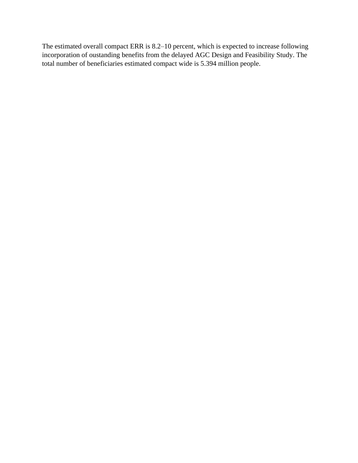The estimated overall compact ERR is 8.2–10 percent, which is expected to increase following incorporation of oustanding benefits from the delayed AGC Design and Feasibility Study. The total number of beneficiaries estimated compact wide is 5.394 million people.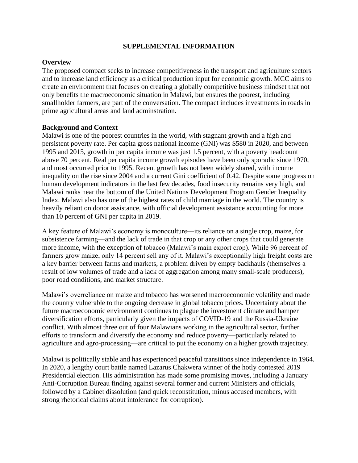## **SUPPLEMENTAL INFORMATION**

## **Overview**

The proposed compact seeks to increase competitiveness in the transport and agriculture sectors and to increase land efficiency as a critical production input for economic growth. MCC aims to create an environment that focuses on creating a globally competitive business mindset that not only benefits the macroeconomic situation in Malawi, but ensures the poorest, including smallholder farmers, are part of the conversation. The compact includes investments in roads in prime agricultural areas and land adminstration.

#### **Background and Context**

Malawi is one of the poorest countries in the world, with stagnant growth and a high and persistent poverty rate. Per capita gross national income (GNI) was \$580 in 2020, and between 1995 and 2015, growth in per capita income was just 1.5 percent, with a poverty headcount above 70 percent. Real per capita income growth episodes have been only sporadic since 1970, and most occurred prior to 1995. Recent growth has not been widely shared, with income inequality on the rise since 2004 and a current Gini coefficient of 0.42. Despite some progress on human development indicators in the last few decades, food insecurity remains very high, and Malawi ranks near the bottom of the United Nations Development Program Gender Inequality Index. Malawi also has one of the highest rates of child marriage in the world. The country is heavily reliant on donor assistance, with official development assistance accounting for more than 10 percent of GNI per capita in 2019.

A key feature of Malawi's economy is monoculture—its reliance on a single crop, maize, for subsistence farming—and the lack of trade in that crop or any other crops that could generate more income, with the exception of tobacco (Malawi's main export crop). While 96 percent of farmers grow maize, only 14 percent sell any of it. Malawi's exceptionally high freight costs are a key barrier between farms and markets, a problem driven by empty backhauls (themselves a result of low volumes of trade and a lack of aggregation among many small-scale producers), poor road conditions, and market structure.

Malawi's overreliance on maize and tobacco has worsened macroeconomic volatility and made the country vulnerable to the ongoing decrease in global tobacco prices. Uncertainty about the future macroeconomic environment continues to plague the investment climate and hamper diversification efforts, particularly given the impacts of COVID-19 and the Russia-Ukraine conflict. With almost three out of four Malawians working in the agricultural sector, further efforts to transform and diversify the economy and reduce poverty—particularly related to agriculture and agro-processing—are critical to put the economy on a higher growth trajectory.

Malawi is politically stable and has experienced peaceful transitions since independence in 1964. In 2020, a lengthy court battle named Lazarus Chakwera winner of the hotly contested 2019 Presidential election. His administration has made some promising moves, including a January Anti-Corruption Bureau finding against several former and current Ministers and officials, followed by a Cabinet dissolution (and quick reconstitution, minus accused members, with strong rhetorical claims about intolerance for corruption).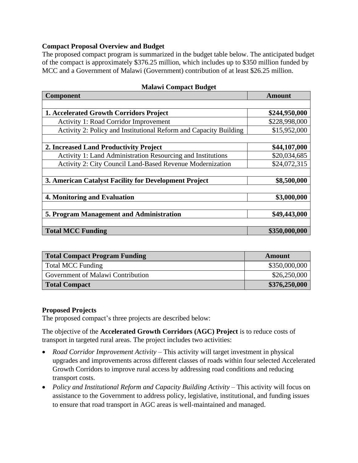## **Compact Proposal Overview and Budget**

The proposed compact program is summarized in the budget table below. The anticipated budget of the compact is approximately \$376.25 million, which includes up to \$350 million funded by MCC and a Government of Malawi (Government) contribution of at least \$26.25 million.

| Component                                                         | <b>Amount</b> |
|-------------------------------------------------------------------|---------------|
|                                                                   |               |
| <b>1. Accelerated Growth Corridors Project</b>                    | \$244,950,000 |
| <b>Activity 1: Road Corridor Improvement</b>                      | \$228,998,000 |
| Activity 2: Policy and Institutional Reform and Capacity Building | \$15,952,000  |
|                                                                   |               |
| 2. Increased Land Productivity Project                            | \$44,107,000  |
| Activity 1: Land Administration Resourcing and Institutions       | \$20,034,685  |
| Activity 2: City Council Land-Based Revenue Modernization         | \$24,072,315  |
|                                                                   |               |
| 3. American Catalyst Facility for Development Project             | \$8,500,000   |
|                                                                   |               |
| 4. Monitoring and Evaluation                                      | \$3,000,000   |
|                                                                   |               |
| 5. Program Management and Administration                          | \$49,443,000  |
|                                                                   |               |
| <b>Total MCC Funding</b>                                          | \$350,000,000 |

#### **Malawi Compact Budget**

| <b>Total Compact Program Funding</b> | Amount        |
|--------------------------------------|---------------|
| <b>Total MCC Funding</b>             | \$350,000,000 |
| Government of Malawi Contribution    | \$26,250,000  |
| <b>Total Compact</b>                 | \$376,250,000 |

## **Proposed Projects**

The proposed compact's three projects are described below:

The objective of the **Accelerated Growth Corridors (AGC) Project** is to reduce costs of transport in targeted rural areas. The project includes two activities:

- *Road Corridor Improvement Activity* This activity will target investment in physical upgrades and improvements across different classes of roads within four selected Accelerated Growth Corridors to improve rural access by addressing road conditions and reducing transport costs.
- *Policy and Institutional Reform and Capacity Building Activity* This activity will focus on assistance to the Government to address policy, legislative, institutional, and funding issues to ensure that road transport in AGC areas is well-maintained and managed.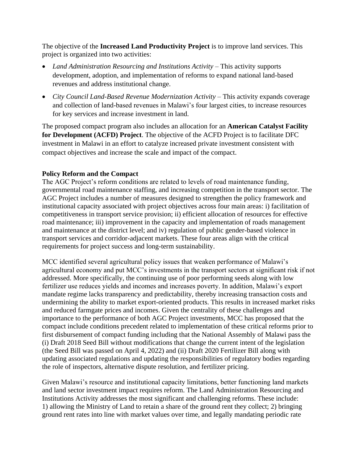The objective of the **Increased Land Productivity Project** is to improve land services. This project is organized into two activities:

- *Land Administration Resourcing and Institutions Activity* This activity supports development, adoption, and implementation of reforms to expand national land-based revenues and address institutional change.
- *City Council Land-Based Revenue Modernization Activity* This activity expands coverage and collection of land-based revenues in Malawi's four largest cities, to increase resources for key services and increase investment in land.

The proposed compact program also includes an allocation for an **American Catalyst Facility for Development (ACFD) Project**. The objective of the ACFD Project is to facilitate DFC investment in Malawi in an effort to catalyze increased private investment consistent with compact objectives and increase the scale and impact of the compact.

## **Policy Reform and the Compact**

The AGC Project's reform conditions are related to levels of road maintenance funding, governmental road maintenance staffing, and increasing competition in the transport sector. The AGC Project includes a number of measures designed to strengthen the policy framework and institutional capacity associated with project objectives across four main areas: i) facilitation of competitiveness in transport service provision; ii) efficient allocation of resources for effective road maintenance; iii) improvement in the capacity and implementation of roads management and maintenance at the district level; and iv) regulation of public gender-based violence in transport services and corridor-adjacent markets. These four areas align with the critical requirements for project success and long-term sustainability.

MCC identified several agricultural policy issues that weaken performance of Malawi's agricultural economy and put MCC's investments in the transport sectors at significant risk if not addressed. More specifically, the continuing use of poor performing seeds along with low fertilizer use reduces yields and incomes and increases poverty. In addition, Malawi's export mandate regime lacks transparency and predictability, thereby increasing transaction costs and undermining the ability to market export-oriented products. This results in increased market risks and reduced farmgate prices and incomes. Given the centrality of these challenges and importance to the performance of both AGC Project investments, MCC has proposed that the compact include conditions precedent related to implementation of these critical reforms prior to first disbursement of compact funding including that the National Assembly of Malawi pass the (i) Draft 2018 Seed Bill without modifications that change the current intent of the legislation (the Seed Bill was passed on April 4, 2022) and (ii) Draft 2020 Fertilizer Bill along with updating associated regulations and updating the responsibilities of regulatory bodies regarding the role of inspectors, alternative dispute resolution, and fertilizer pricing.

Given Malawi's resource and institutional capacity limitations, better functioning land markets and land sector investment impact requires reform. The Land Administration Resourcing and Institutions Activity addresses the most significant and challenging reforms. These include: 1) allowing the Ministry of Land to retain a share of the ground rent they collect; 2) bringing ground rent rates into line with market values over time, and legally mandating periodic rate